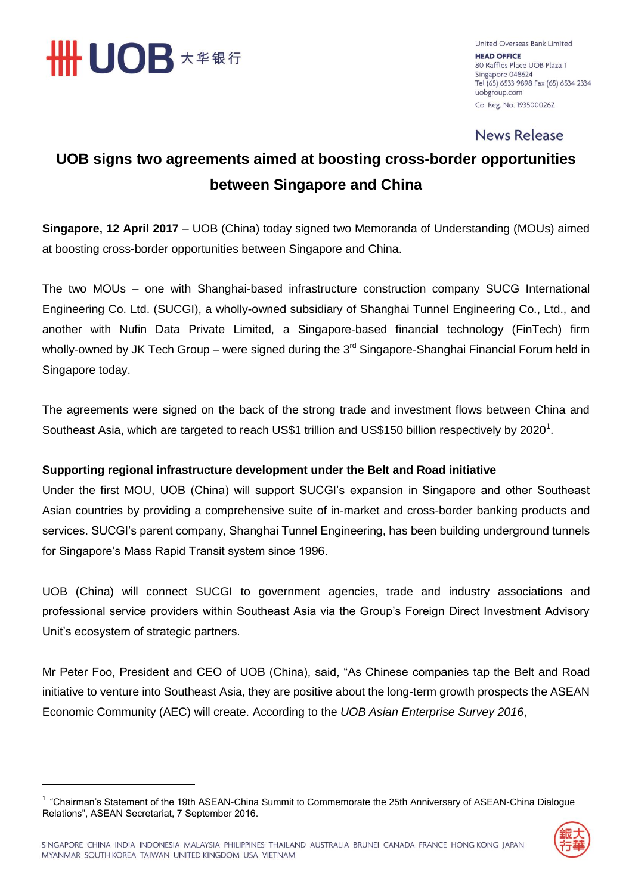

-

United Overseas Bank Limited **HEAD OFFICE** 80 Raffles Place UOB Plaza 1 Singapore 048624 Tel (65) 6533 9898 Fax (65) 6534 2334 uobgroup.com Co. Reg. No. 193500026Z

### **News Release**

### **UOB signs two agreements aimed at boosting cross-border opportunities between Singapore and China**

**Singapore, 12 April 2017** – UOB (China) today signed two Memoranda of Understanding (MOUs) aimed at boosting cross-border opportunities between Singapore and China.

The two MOUs – one with Shanghai-based infrastructure construction company SUCG International Engineering Co. Ltd. (SUCGI), a wholly-owned subsidiary of Shanghai Tunnel Engineering Co., Ltd., and another with Nufin Data Private Limited, a Singapore-based financial technology (FinTech) firm wholly-owned by JK Tech Group – were signed during the  $3<sup>rd</sup>$  Singapore-Shanghai Financial Forum held in Singapore today.

The agreements were signed on the back of the strong trade and investment flows between China and Southeast Asia, which are targeted to reach US\$1 trillion and US\$150 billion respectively by 2020<sup>1</sup>.

### **Supporting regional infrastructure development under the Belt and Road initiative**

Under the first MOU, UOB (China) will support SUCGI's expansion in Singapore and other Southeast Asian countries by providing a comprehensive suite of in-market and cross-border banking products and services. SUCGI's parent company, Shanghai Tunnel Engineering, has been building underground tunnels for Singapore's Mass Rapid Transit system since 1996.

UOB (China) will connect SUCGI to government agencies, trade and industry associations and professional service providers within Southeast Asia via the Group's Foreign Direct Investment Advisory Unit's ecosystem of strategic partners.

Mr Peter Foo, President and CEO of UOB (China), said, "As Chinese companies tap the Belt and Road initiative to venture into Southeast Asia, they are positive about the long-term growth prospects the ASEAN Economic Community (AEC) will create. According to the *UOB Asian Enterprise Survey 2016*,

<sup>&</sup>lt;sup>1</sup> "Chairman's Statement of the 19th ASEAN-China Summit to Commemorate the 25th Anniversary of ASEAN-China Dialogue Relations", ASEAN Secretariat, 7 September 2016.

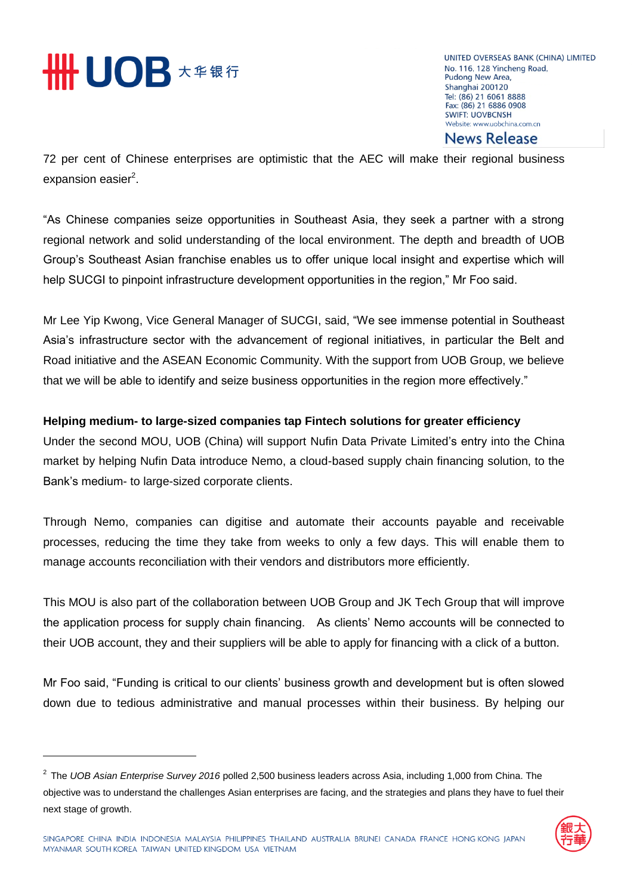# **HHUOB X # \$ 5**

UNITED OVERSEAS BANK (CHINA) LIMITED No. 116, 128 Yincheng Road, Pudong New Area, Shanghai 200120 Tel: (86) 21 6061 8888 Fax: (86) 21 6886 0908 **SWIFT: UOVBCNSH** Website: www.uobchina.com.cn

**News Release** 

72 per cent of Chinese enterprises are optimistic that the AEC will make their regional business expansion easier<sup>2</sup>.

"As Chinese companies seize opportunities in Southeast Asia, they seek a partner with a strong regional network and solid understanding of the local environment. The depth and breadth of UOB Group's Southeast Asian franchise enables us to offer unique local insight and expertise which will help SUCGI to pinpoint infrastructure development opportunities in the region," Mr Foo said.

Mr Lee Yip Kwong, Vice General Manager of SUCGI, said, "We see immense potential in Southeast Asia's infrastructure sector with the advancement of regional initiatives, in particular the Belt and Road initiative and the ASEAN Economic Community. With the support from UOB Group, we believe that we will be able to identify and seize business opportunities in the region more effectively."

### **Helping medium- to large-sized companies tap Fintech solutions for greater efficiency**

Under the second MOU, UOB (China) will support Nufin Data Private Limited's entry into the China market by helping Nufin Data introduce Nemo, a cloud-based supply chain financing solution, to the Bank's medium- to large-sized corporate clients.

Through Nemo, companies can digitise and automate their accounts payable and receivable processes, reducing the time they take from weeks to only a few days. This will enable them to manage accounts reconciliation with their vendors and distributors more efficiently.

This MOU is also part of the collaboration between UOB Group and JK Tech Group that will improve the application process for supply chain financing. As clients' Nemo accounts will be connected to their UOB account, they and their suppliers will be able to apply for financing with a click of a button.

Mr Foo said, "Funding is critical to our clients' business growth and development but is often slowed down due to tedious administrative and manual processes within their business. By helping our

<sup>2</sup> The *UOB Asian Enterprise Survey 2016* polled 2,500 business leaders across Asia, including 1,000 from China. The objective was to understand the challenges Asian enterprises are facing, and the strategies and plans they have to fuel their next stage of growth.